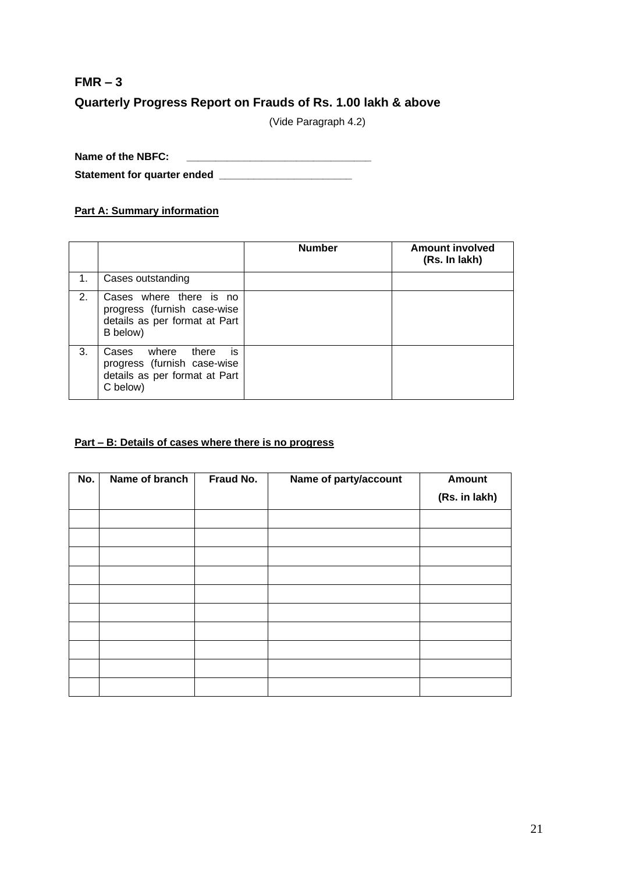# **FMR – 3 Quarterly Progress Report on Frauds of Rs. 1.00 lakh & above**

(Vide Paragraph 4.2)

**Name of the NBFC: \_\_\_\_\_\_\_\_\_\_\_\_\_\_\_\_\_\_\_\_\_\_\_\_\_\_\_\_\_\_\_\_ Statement for quarter ended \_\_\_\_\_\_\_\_\_\_\_\_\_\_\_\_\_\_\_\_\_\_\_**

#### **Part A: Summary information**

|    |                                                                                                            | <b>Number</b> | <b>Amount involved</b><br>(Rs. In lakh) |
|----|------------------------------------------------------------------------------------------------------------|---------------|-----------------------------------------|
| 1. | Cases outstanding                                                                                          |               |                                         |
| 2. | Cases where there is no<br>progress (furnish case-wise<br>details as per format at Part<br>B below)        |               |                                         |
| 3. | is.<br>where<br>Cases<br>there<br>progress (furnish case-wise<br>details as per format at Part<br>C below) |               |                                         |

#### **Part – B: Details of cases where there is no progress**

| No. | Name of branch | Fraud No. | Name of party/account | <b>Amount</b> |  |
|-----|----------------|-----------|-----------------------|---------------|--|
|     |                |           |                       | (Rs. in lakh) |  |
|     |                |           |                       |               |  |
|     |                |           |                       |               |  |
|     |                |           |                       |               |  |
|     |                |           |                       |               |  |
|     |                |           |                       |               |  |
|     |                |           |                       |               |  |
|     |                |           |                       |               |  |
|     |                |           |                       |               |  |
|     |                |           |                       |               |  |
|     |                |           |                       |               |  |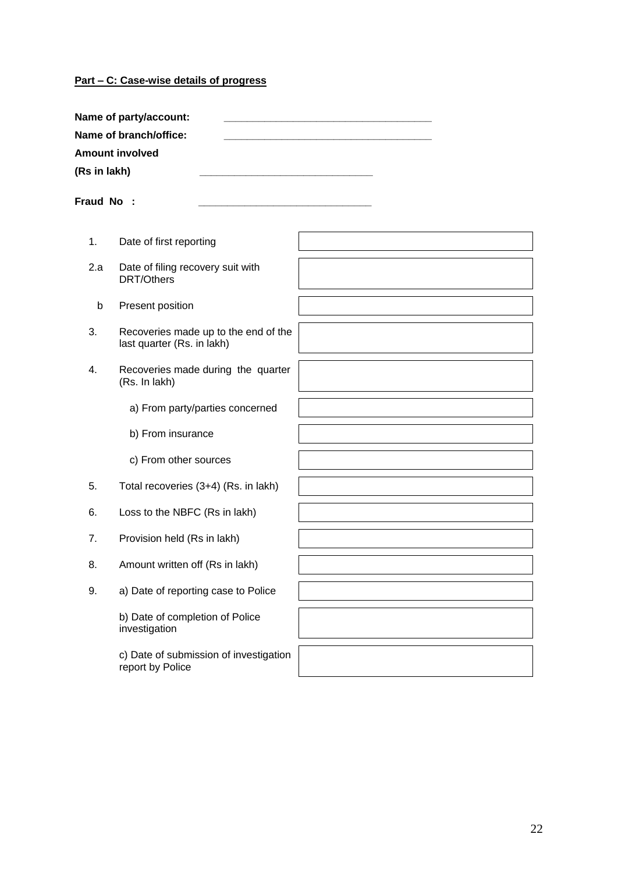## **Part – C: Case-wise details of progress**

|              | Name of party/account:                                             |  |  |  |  |  |
|--------------|--------------------------------------------------------------------|--|--|--|--|--|
|              | Name of branch/office:                                             |  |  |  |  |  |
|              | <b>Amount involved</b>                                             |  |  |  |  |  |
| (Rs in lakh) |                                                                    |  |  |  |  |  |
| Fraud No:    |                                                                    |  |  |  |  |  |
| 1.           | Date of first reporting                                            |  |  |  |  |  |
| 2.a          | Date of filing recovery suit with<br><b>DRT/Others</b>             |  |  |  |  |  |
| b            | Present position                                                   |  |  |  |  |  |
| 3.           | Recoveries made up to the end of the<br>last quarter (Rs. in lakh) |  |  |  |  |  |
| 4.           | Recoveries made during the quarter<br>(Rs. In lakh)                |  |  |  |  |  |
|              | a) From party/parties concerned                                    |  |  |  |  |  |
|              | b) From insurance                                                  |  |  |  |  |  |
|              | c) From other sources                                              |  |  |  |  |  |
| 5.           | Total recoveries (3+4) (Rs. in lakh)                               |  |  |  |  |  |
| 6.           | Loss to the NBFC (Rs in lakh)                                      |  |  |  |  |  |
| 7.           | Provision held (Rs in lakh)                                        |  |  |  |  |  |
| 8.           | Amount written off (Rs in lakh)                                    |  |  |  |  |  |
| 9.           | a) Date of reporting case to Police                                |  |  |  |  |  |
|              | b) Date of completion of Police<br>investigation                   |  |  |  |  |  |
|              | c) Date of submission of investigation<br>report by Police         |  |  |  |  |  |
|              |                                                                    |  |  |  |  |  |